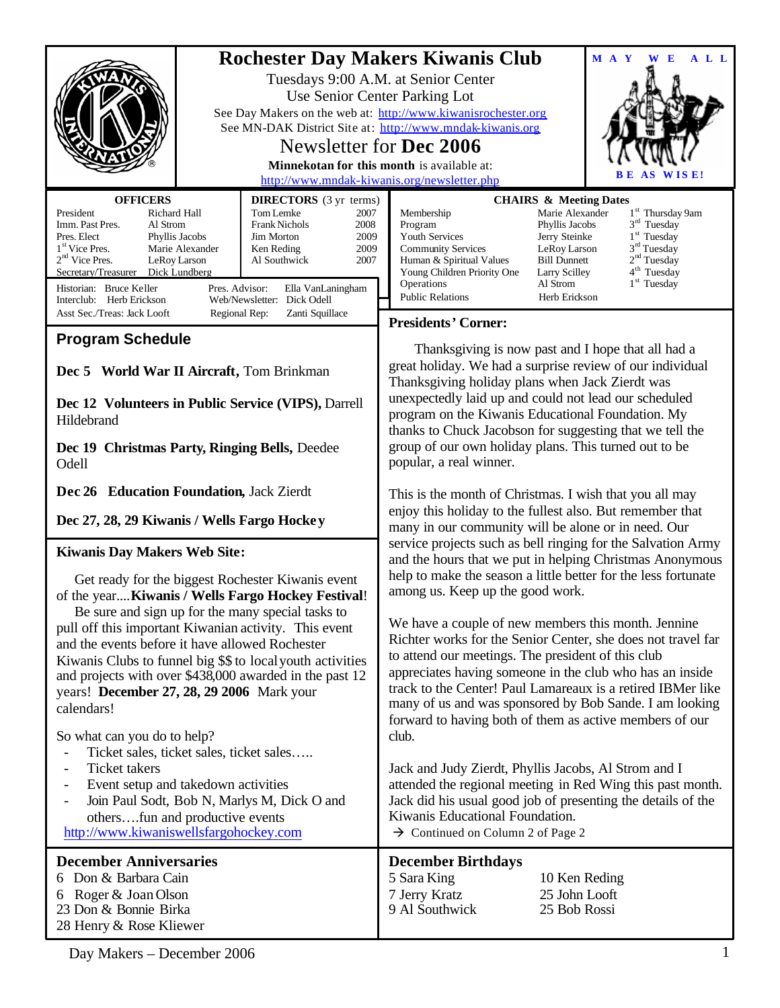|                                                                                                                                                                                                                                                                                                                                                                                                                                                                                                                                                                                                                                                                                                                                                                                            |                                                                                                                                                                                                                                                                                                                                                                                 |                                                                                                                                                                                                                                                                                                                                                                                                                                                                                                                                                                                                                                                                       | MAY<br>A L L<br>E                                                                                                                                                                                                                                                                                 |                                                                             |
|--------------------------------------------------------------------------------------------------------------------------------------------------------------------------------------------------------------------------------------------------------------------------------------------------------------------------------------------------------------------------------------------------------------------------------------------------------------------------------------------------------------------------------------------------------------------------------------------------------------------------------------------------------------------------------------------------------------------------------------------------------------------------------------------|---------------------------------------------------------------------------------------------------------------------------------------------------------------------------------------------------------------------------------------------------------------------------------------------------------------------------------------------------------------------------------|-----------------------------------------------------------------------------------------------------------------------------------------------------------------------------------------------------------------------------------------------------------------------------------------------------------------------------------------------------------------------------------------------------------------------------------------------------------------------------------------------------------------------------------------------------------------------------------------------------------------------------------------------------------------------|---------------------------------------------------------------------------------------------------------------------------------------------------------------------------------------------------------------------------------------------------------------------------------------------------|-----------------------------------------------------------------------------|
|                                                                                                                                                                                                                                                                                                                                                                                                                                                                                                                                                                                                                                                                                                                                                                                            | <b>Rochester Day Makers Kiwanis Club</b><br>Tuesdays 9:00 A.M. at Senior Center<br>Use Senior Center Parking Lot<br>See Day Makers on the web at: http://www.kiwanisrochester.org<br>See MN-DAK District Site at: http://www.mndak-kiwanis.org<br>Newsletter for Dec 2006<br>Minnekotan for this month is available at:<br>IS E!<br>http://www.mndak-kiwanis.org/newsletter.php |                                                                                                                                                                                                                                                                                                                                                                                                                                                                                                                                                                                                                                                                       |                                                                                                                                                                                                                                                                                                   |                                                                             |
| <b>OFFICERS</b>                                                                                                                                                                                                                                                                                                                                                                                                                                                                                                                                                                                                                                                                                                                                                                            | <b>DIRECTORS</b> (3 yr terms)                                                                                                                                                                                                                                                                                                                                                   |                                                                                                                                                                                                                                                                                                                                                                                                                                                                                                                                                                                                                                                                       | <b>CHAIRS &amp; Meeting Dates</b>                                                                                                                                                                                                                                                                 |                                                                             |
| President<br>Richard Hall<br>Imm. Past Pres.<br>Al Strom<br>Pres. Elect<br>Phyllis Jacobs<br>1 <sup>st</sup> Vice Pres.<br>Marie Alexander<br>$2nd$ Vice Pres.<br>LeRoy Larson<br>Secretary/Treasurer<br>Dick Lundberg<br>Pres. Advisor:<br>Historian: Bruce Keller<br>Interclub: Herb Erickson                                                                                                                                                                                                                                                                                                                                                                                                                                                                                            | Tom Lemke<br>2007<br><b>Frank Nichols</b><br>2008<br>Jim Morton<br>2009<br>2009<br>Ken Reding<br>Al Southwick<br>2007<br>Ella VanLaningham<br>Web/Newsletter: Dick Odell                                                                                                                                                                                                        | Membership<br>Program<br>Youth Services<br><b>Community Services</b><br>Human & Spiritual Values<br>Young Children Priority One<br>Operations<br><b>Public Relations</b>                                                                                                                                                                                                                                                                                                                                                                                                                                                                                              | Marie Alexander<br>1 <sup>st</sup> Thursday 9am<br>$3rd$ Tuesday<br>Phyllis Jacobs<br>$1st$ Tuesday<br>Jerry Steinke<br>3 <sup>rd</sup> Tuesday<br>LeRoy Larson<br>2 <sup>nd</sup> Tuesday<br><b>Bill Dunnett</b><br>$4th$ Tuesday<br>Larry Scilley<br>$1st$ Tuesday<br>Al Strom<br>Herb Erickson |                                                                             |
| Asst Sec./Treas: Jack Looft                                                                                                                                                                                                                                                                                                                                                                                                                                                                                                                                                                                                                                                                                                                                                                | Regional Rep:<br>Zanti Squillace                                                                                                                                                                                                                                                                                                                                                | <b>Presidents' Corner:</b>                                                                                                                                                                                                                                                                                                                                                                                                                                                                                                                                                                                                                                            |                                                                                                                                                                                                                                                                                                   |                                                                             |
| <b>Program Schedule</b>                                                                                                                                                                                                                                                                                                                                                                                                                                                                                                                                                                                                                                                                                                                                                                    |                                                                                                                                                                                                                                                                                                                                                                                 |                                                                                                                                                                                                                                                                                                                                                                                                                                                                                                                                                                                                                                                                       |                                                                                                                                                                                                                                                                                                   |                                                                             |
| Dec 5 World War II Aircraft, Tom Brinkman<br>Dec 12 Volunteers in Public Service (VIPS), Darrell<br>Hildebrand<br>Dec 19 Christmas Party, Ringing Bells, Deedee                                                                                                                                                                                                                                                                                                                                                                                                                                                                                                                                                                                                                            |                                                                                                                                                                                                                                                                                                                                                                                 | Thanksgiving is now past and I hope that all had a<br>great holiday. We had a surprise review of our individual<br>Thanksgiving holiday plans when Jack Zierdt was<br>unexpectedly laid up and could not lead our scheduled<br>program on the Kiwanis Educational Foundation. My<br>thanks to Chuck Jacobson for suggesting that we tell the<br>group of our own holiday plans. This turned out to be                                                                                                                                                                                                                                                                 |                                                                                                                                                                                                                                                                                                   |                                                                             |
| Odell                                                                                                                                                                                                                                                                                                                                                                                                                                                                                                                                                                                                                                                                                                                                                                                      |                                                                                                                                                                                                                                                                                                                                                                                 | popular, a real winner.                                                                                                                                                                                                                                                                                                                                                                                                                                                                                                                                                                                                                                               |                                                                                                                                                                                                                                                                                                   |                                                                             |
| Dec 26 Education Foundation, Jack Zierdt<br>Dec 27, 28, 29 Kiwanis / Wells Fargo Hockey                                                                                                                                                                                                                                                                                                                                                                                                                                                                                                                                                                                                                                                                                                    |                                                                                                                                                                                                                                                                                                                                                                                 | This is the month of Christmas. I wish that you all may<br>enjoy this holiday to the fullest also. But remember that<br>many in our community will be alone or in need. Our                                                                                                                                                                                                                                                                                                                                                                                                                                                                                           |                                                                                                                                                                                                                                                                                                   |                                                                             |
| <b>Kiwanis Day Makers Web Site:</b>                                                                                                                                                                                                                                                                                                                                                                                                                                                                                                                                                                                                                                                                                                                                                        |                                                                                                                                                                                                                                                                                                                                                                                 | service projects such as bell ringing for the Salvation Army<br>and the hours that we put in helping Christmas Anonymous<br>help to make the season a little better for the less fortunate<br>among us. Keep up the good work.<br>We have a couple of new members this month. Jennine<br>Richter works for the Senior Center, she does not travel far<br>to attend our meetings. The president of this club<br>appreciates having someone in the club who has an inside<br>track to the Center! Paul Lamareaux is a retired IBMer like<br>many of us and was sponsored by Bob Sande. I am looking<br>forward to having both of them as active members of our<br>club. |                                                                                                                                                                                                                                                                                                   |                                                                             |
| Get ready for the biggest Rochester Kiwanis event<br>of the year Kiwanis / Wells Fargo Hockey Festival!<br>Be sure and sign up for the many special tasks to<br>pull off this important Kiwanian activity. This event<br>and the events before it have allowed Rochester<br>Kiwanis Clubs to funnel big \$\$ to local youth activities<br>and projects with over \$438,000 awarded in the past 12<br>years! December 27, 28, 29 2006 Mark your<br>calendars!<br>So what can you do to help?<br>Ticket sales, ticket sales, ticket sales<br><b>Ticket</b> takers<br>$\overline{\phantom{a}}$<br>Event setup and takedown activities<br>Join Paul Sodt, Bob N, Marlys M, Dick O and<br>$\overline{\phantom{a}}$<br>othersfun and productive events<br>http://www.kiwaniswellsfargohockey.com |                                                                                                                                                                                                                                                                                                                                                                                 |                                                                                                                                                                                                                                                                                                                                                                                                                                                                                                                                                                                                                                                                       |                                                                                                                                                                                                                                                                                                   |                                                                             |
|                                                                                                                                                                                                                                                                                                                                                                                                                                                                                                                                                                                                                                                                                                                                                                                            |                                                                                                                                                                                                                                                                                                                                                                                 |                                                                                                                                                                                                                                                                                                                                                                                                                                                                                                                                                                                                                                                                       |                                                                                                                                                                                                                                                                                                   |                                                                             |
|                                                                                                                                                                                                                                                                                                                                                                                                                                                                                                                                                                                                                                                                                                                                                                                            |                                                                                                                                                                                                                                                                                                                                                                                 | <b>December Anniversaries</b><br>6 Don & Barbara Cain<br>Roger & Joan Olson<br>6<br>23 Don & Bonnie Birka<br>28 Henry & Rose Kliewer                                                                                                                                                                                                                                                                                                                                                                                                                                                                                                                                  |                                                                                                                                                                                                                                                                                                   | <b>December Birthdays</b><br>5 Sara King<br>7 Jerry Kratz<br>9 Al Southwick |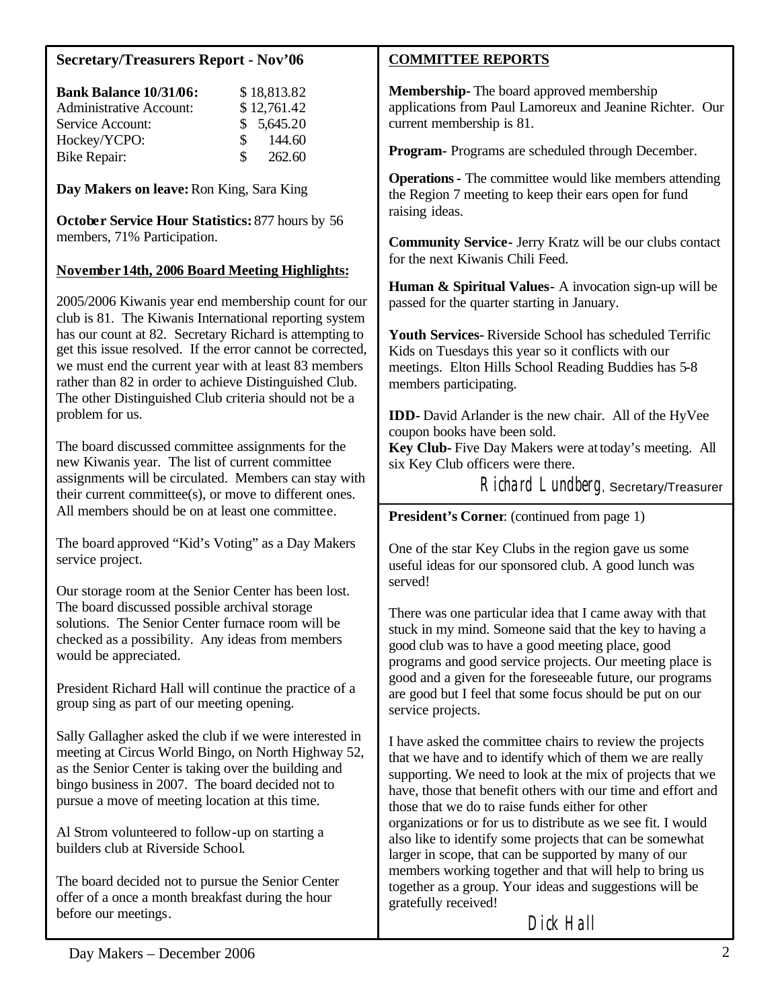# **Secretary/Treasurers Report - Nov'06**

| <b>Bank Balance 10/31/06:</b>  |               | \$18,813.82 |
|--------------------------------|---------------|-------------|
| <b>Administrative Account:</b> |               | \$12,761.42 |
| Service Account:               |               | \$5,645.20  |
| Hockey/YCPO:                   | $\mathcal{S}$ | 144.60      |
| Bike Repair:                   | S.            | 262.60      |

**Day Makers on leave:**Ron King, Sara King

**October Service Hour Statistics:** 877 hours by 56 members, 71% Participation.

# **November 14th, 2006 Board Meeting Highlights:**

2005/2006 Kiwanis year end membership count for our club is 81. The Kiwanis International reporting system has our count at 82. Secretary Richard is attempting to get this issue resolved. If the error cannot be corrected, we must end the current year with at least 83 members rather than 82 in order to achieve Distinguished Club. The other Distinguished Club criteria should not be a problem for us.

The board discussed committee assignments for the new Kiwanis year. The list of current committee assignments will be circulated. Members can stay with their current committee(s), or move to different ones. All members should be on at least one committee.

The board approved "Kid's Voting" as a Day Makers service project.

Our storage room at the Senior Center has been lost. The board discussed possible archival storage solutions. The Senior Center furnace room will be checked as a possibility. Any ideas from members would be appreciated.

President Richard Hall will continue the practice of a group sing as part of our meeting opening.

Sally Gallagher asked the club if we were interested in meeting at Circus World Bingo, on North Highway 52, as the Senior Center is taking over the building and bingo business in 2007. The board decided not to pursue a move of meeting location at this time.

Al Strom volunteered to follow-up on starting a builders club at Riverside School.

The board decided not to pursue the Senior Center offer of a once a month breakfast during the hour before our meetings.

## **COMMITTEE REPORTS**

**Membership-** The board approved membership applications from Paul Lamoreux and Jeanine Richter. Our current membership is 81.

**Program-** Programs are scheduled through December.

**Operations-** The committee would like members attending the Region 7 meeting to keep their ears open for fund raising ideas.

**Community Service-** Jerry Kratz will be our clubs contact for the next Kiwanis Chili Feed.

**Human & Spiritual Values-** A invocation sign-up will be passed for the quarter starting in January.

**Youth Services-** Riverside School has scheduled Terrific Kids on Tuesdays this year so it conflicts with our meetings. Elton Hills School Reading Buddies has 5-8 members participating.

**IDD-** David Arlander is the new chair. All of the HyVee coupon books have been sold.

**Key Club-** Five Day Makers were at today's meeting. All six Key Club officers were there.

Richard Lundberg, Secretary/Treasurer

**President's Corner**: (continued from page 1)

One of the star Key Clubs in the region gave us some useful ideas for our sponsored club. A good lunch was served!

There was one particular idea that I came away with that stuck in my mind. Someone said that the key to having a good club was to have a good meeting place, good programs and good service projects. Our meeting place is good and a given for the foreseeable future, our programs are good but I feel that some focus should be put on our service projects.

I have asked the committee chairs to review the projects that we have and to identify which of them we are really supporting. We need to look at the mix of projects that we have, those that benefit others with our time and effort and those that we do to raise funds either for other organizations or for us to distribute as we see fit. I would also like to identify some projects that can be somewhat larger in scope, that can be supported by many of our members working together and that will help to bring us together as a group. Your ideas and suggestions will be gratefully received!

Dick Hall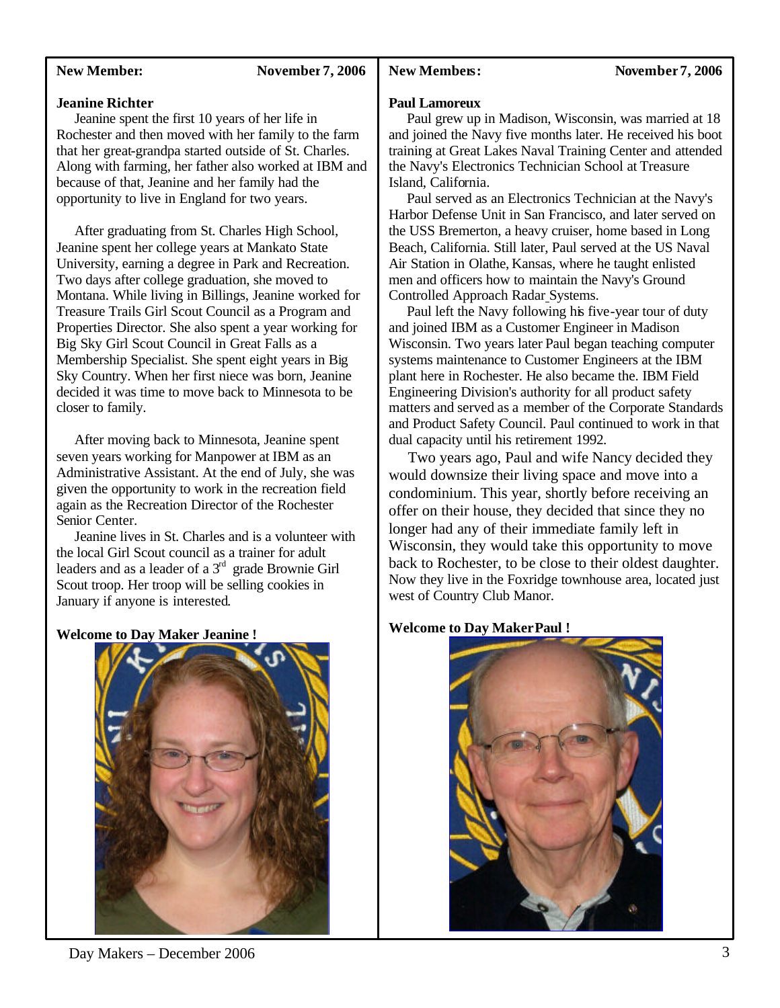## **New Member:** November 7, 2006

## New Members: November 7, 2006

#### **Jeanine Richter**

 Jeanine spent the first 10 years of her life in Rochester and then moved with her family to the farm that her great-grandpa started outside of St. Charles. Along with farming, her father also worked at IBM and because of that, Jeanine and her family had the opportunity to live in England for two years.

 After graduating from St. Charles High School, Jeanine spent her college years at Mankato State University, earning a degree in Park and Recreation. Two days after college graduation, she moved to Montana. While living in Billings, Jeanine worked for Treasure Trails Girl Scout Council as a Program and Properties Director. She also spent a year working for Big Sky Girl Scout Council in Great Falls as a Membership Specialist. She spent eight years in Big Sky Country. When her first niece was born, Jeanine decided it was time to move back to Minnesota to be closer to family.

 After moving back to Minnesota, Jeanine spent seven years working for Manpower at IBM as an Administrative Assistant. At the end of July, she was given the opportunity to work in the recreation field again as the Recreation Director of the Rochester Senior Center.

 Jeanine lives in St. Charles and is a volunteer with the local Girl Scout council as a trainer for adult leaders and as a leader of a  $3<sup>rd</sup>$  grade Brownie Girl Scout troop. Her troop will be selling cookies in January if anyone is interested.

**Welcome to Day Maker Jeanine !**



**Paul Lamoreux**

 Paul grew up in Madison, Wisconsin, was married at 18 and joined the Navy five months later. He received his boot training at Great Lakes Naval Training Center and attended the Navy's Electronics Technician School at Treasure Island, California.

 Paul served as an Electronics Technician at the Navy's Harbor Defense Unit in San Francisco, and later served on the USS Bremerton, a heavy cruiser, home based in Long Beach, California. Still later, Paul served at the US Naval Air Station in Olathe, Kansas, where he taught enlisted men and officers how to maintain the Navy's Ground Controlled Approach Radar Systems.

 Paul left the Navy following his five-year tour of duty and joined IBM as a Customer Engineer in Madison Wisconsin. Two years later Paul began teaching computer systems maintenance to Customer Engineers at the IBM plant here in Rochester. He also became the. IBM Field Engineering Division's authority for all product safety matters and served as a member of the Corporate Standards and Product Safety Council. Paul continued to work in that dual capacity until his retirement 1992.

 Two years ago, Paul and wife Nancy decided they would downsize their living space and move into a condominium. This year, shortly before receiving an offer on their house, they decided that since they no longer had any of their immediate family left in Wisconsin, they would take this opportunity to move back to Rochester, to be close to their oldest daughter. Now they live in the Foxridge townhouse area, located just west of Country Club Manor.

#### **Welcome to Day Maker Paul !**



Day Makers – December 2006 3